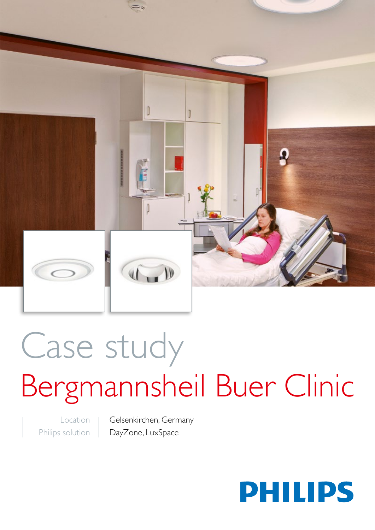

# Case study Bergmannsheil Buer Clinic

Location Philips solution Gelsenkirchen, Germany DayZone, LuxSpace

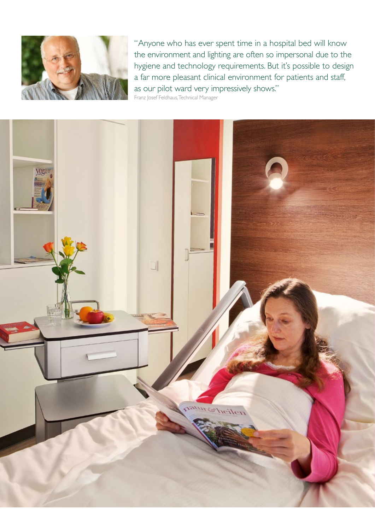

"Anyone who has ever spent time in a hospital bed will know the environment and lighting are often so impersonal due to the hygiene and technology requirements. But it's possible to design a far more pleasant clinical environment for patients and staff, as our pilot ward very impressively shows."

Franz Josef Feldhaus, Technical Manager

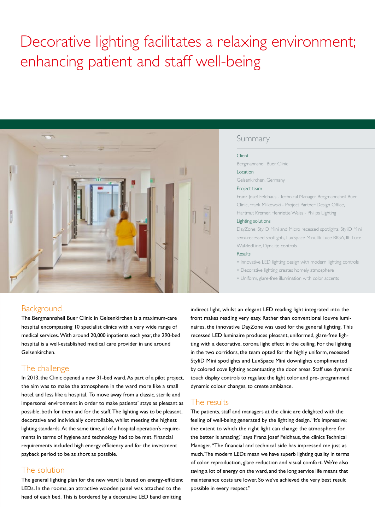# Decorative lighting facilitates a relaxing environment; enhancing patient and staff well-being



### Summary

#### Client

Bergmannsheil Buer Clinic Location

Gelsenkirchen, Germany

#### Project team

Franz Josef Feldhaus - Technical Manager, Bergmannsheil Buer Clinic, Frank Milkowski - Project Partner Design Office, Hartmut Kremer, Henriette Weiss - Philips Lighting

#### Lighting solutions

DayZone, StyliD Mini and Micro recessed spotlights, StyliD Mini semi-recessed spotlights, LuxSpace Mini, Ilti Luce RIGA, Ilti Luce WalkledLine, Dynalite controls

#### Results

• Innovative LED lighting design with modern lighting controls

- Decorative lighting creates homely atmosphere
- Uniform, glare-free illumination with color accents

# Background

The Bergmannsheil Buer Clinic in Gelsenkirchen is a maximum-care hospital encompassing 10 specialist clinics with a very wide range of medical services. With around 20,000 inpatients each year, the 290-bed hospital is a well-established medical care provider in and around Gelsenkirchen.

# The challenge

In 2013, the Clinic opened a new 31-bed ward. As part of a pilot project, the aim was to make the atmosphere in the ward more like a small hotel, and less like a hospital. To move away from a classic, sterile and impersonal environment in order to make patients' stays as pleasant as possible, both for them and for the staff. The lighting was to be pleasant, decorative and individually controllable, whilst meeting the highest lighting standards. At the same time, all of a hospital operation's requirements in terms of hygiene and technology had to be met. Financial requirements included high energy efficiency and for the investment payback period to be as short as possible.

# The solution

The general lighting plan for the new ward is based on energy-efficient LEDs. In the rooms, an attractive wooden panel was attached to the head of each bed. This is bordered by a decorative LED band emitting

indirect light, whilst an elegant LED reading light integrated into the front makes reading very easy. Rather than conventional louvre luminaires, the innovative DayZone was used for the general lighting. This recessed LED luminaire produces pleasant, uniformed, glare-free lighting with a decorative, corona light effect in the ceiling. For the lighting in the two corridors, the team opted for the highly uniform, recessed StyliD Mini spotlights and LuxSpace Mini downlights complimented by colored cove lighting accentuating the door areas. Staff use dynamic touch display controls to regulate the light color and pre- programmed dynamic colour changes, to create ambiance.

# The results

The patients, staff and managers at the clinic are delighted with the feeling of well-being generated by the lighting design. "It's impressive; the extent to which the right light can change the atmosphere for the better is amazing," says Franz Josef Feldhaus, the clinics Technical Manager. "The financial and technical side has impressed me just as much. The modern LEDs mean we have superb lighting quality in terms of color reproduction, glare reduction and visual comfort. We're also saving a lot of energy on the ward, and the long service life means that maintenance costs are lower. So we've achieved the very best result possible in every respect."